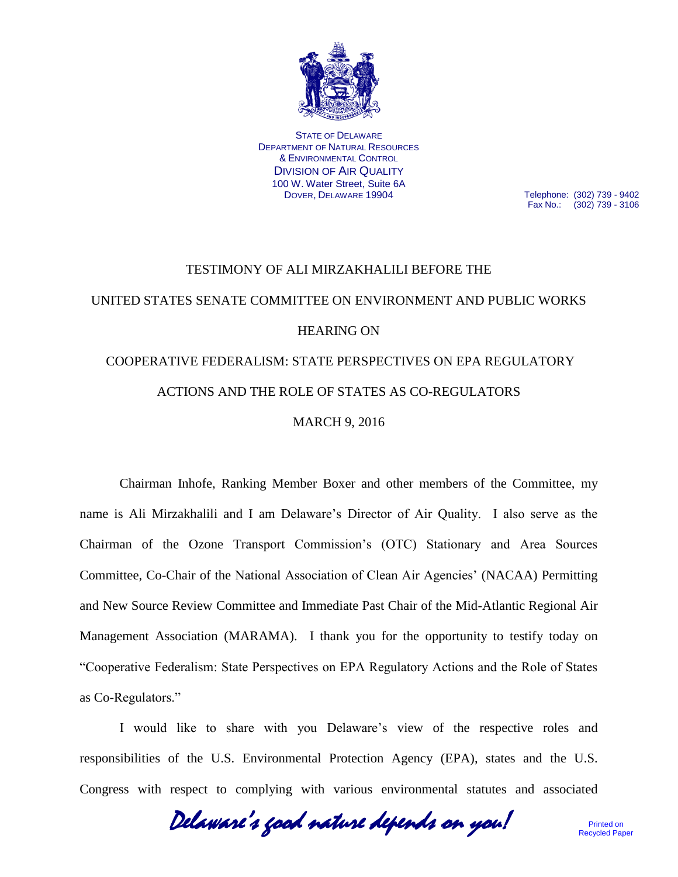

STATE OF DELAWARE DEPARTMENT OF NATURAL RESOURCES & ENVIRONMENTAL CONTROL DIVISION OF AIR QUALITY 100 W. Water Street, Suite 6A DOVER, DELAWARE 19904

Telephone: (302) 739 - 9402 Fax No.: (302) 739 - 3106

## TESTIMONY OF ALI MIRZAKHALILI BEFORE THE UNITED STATES SENATE COMMITTEE ON ENVIRONMENT AND PUBLIC WORKS HEARING ON COOPERATIVE FEDERALISM: STATE PERSPECTIVES ON EPA REGULATORY ACTIONS AND THE ROLE OF STATES AS CO-REGULATORS MARCH 9, 2016

Chairman Inhofe, Ranking Member Boxer and other members of the Committee, my name is Ali Mirzakhalili and I am Delaware's Director of Air Quality. I also serve as the Chairman of the Ozone Transport Commission's (OTC) Stationary and Area Sources Committee, Co-Chair of the National Association of Clean Air Agencies' (NACAA) Permitting and New Source Review Committee and Immediate Past Chair of the Mid-Atlantic Regional Air Management Association (MARAMA). I thank you for the opportunity to testify today on "Cooperative Federalism: State Perspectives on EPA Regulatory Actions and the Role of States as Co-Regulators."

I would like to share with you Delaware's view of the respective roles and responsibilities of the U.S. Environmental Protection Agency (EPA), states and the U.S. Congress with respect to complying with various environmental statutes and associated

Delaware's good nature depends on you!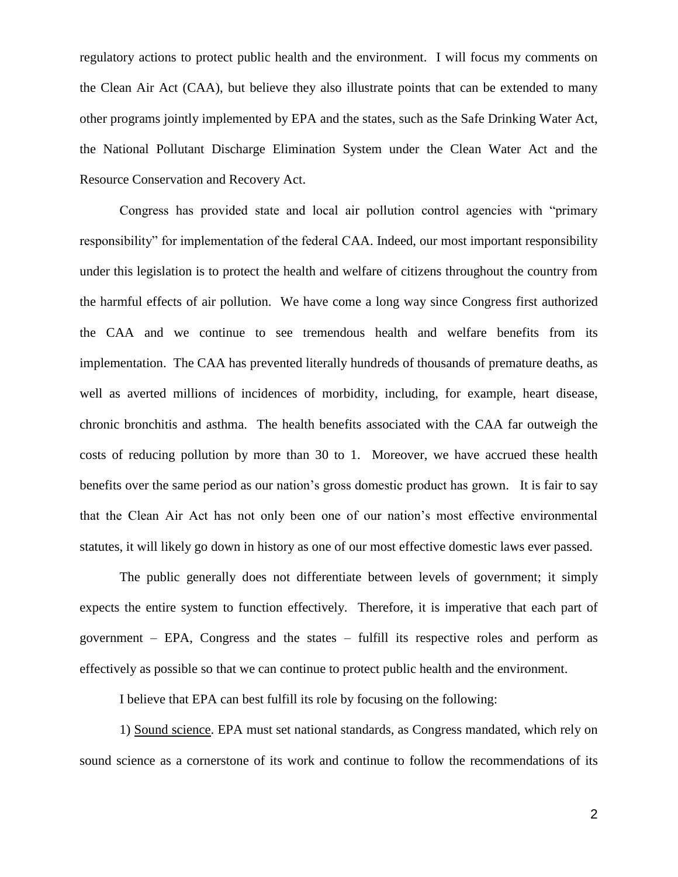regulatory actions to protect public health and the environment. I will focus my comments on the Clean Air Act (CAA), but believe they also illustrate points that can be extended to many other programs jointly implemented by EPA and the states, such as the Safe Drinking Water Act, the National Pollutant Discharge Elimination System under the Clean Water Act and the Resource Conservation and Recovery Act.

Congress has provided state and local air pollution control agencies with "primary responsibility" for implementation of the federal CAA. Indeed, our most important responsibility under this legislation is to protect the health and welfare of citizens throughout the country from the harmful effects of air pollution. We have come a long way since Congress first authorized the CAA and we continue to see tremendous health and welfare benefits from its implementation. The CAA has prevented literally hundreds of thousands of premature deaths, as well as averted millions of incidences of morbidity, including, for example, heart disease, chronic bronchitis and asthma. The health benefits associated with the CAA far outweigh the costs of reducing pollution by more than 30 to 1. Moreover, we have accrued these health benefits over the same period as our nation's gross domestic product has grown. It is fair to say that the Clean Air Act has not only been one of our nation's most effective environmental statutes, it will likely go down in history as one of our most effective domestic laws ever passed.

The public generally does not differentiate between levels of government; it simply expects the entire system to function effectively. Therefore, it is imperative that each part of government – EPA, Congress and the states – fulfill its respective roles and perform as effectively as possible so that we can continue to protect public health and the environment.

I believe that EPA can best fulfill its role by focusing on the following:

1) Sound science. EPA must set national standards, as Congress mandated, which rely on sound science as a cornerstone of its work and continue to follow the recommendations of its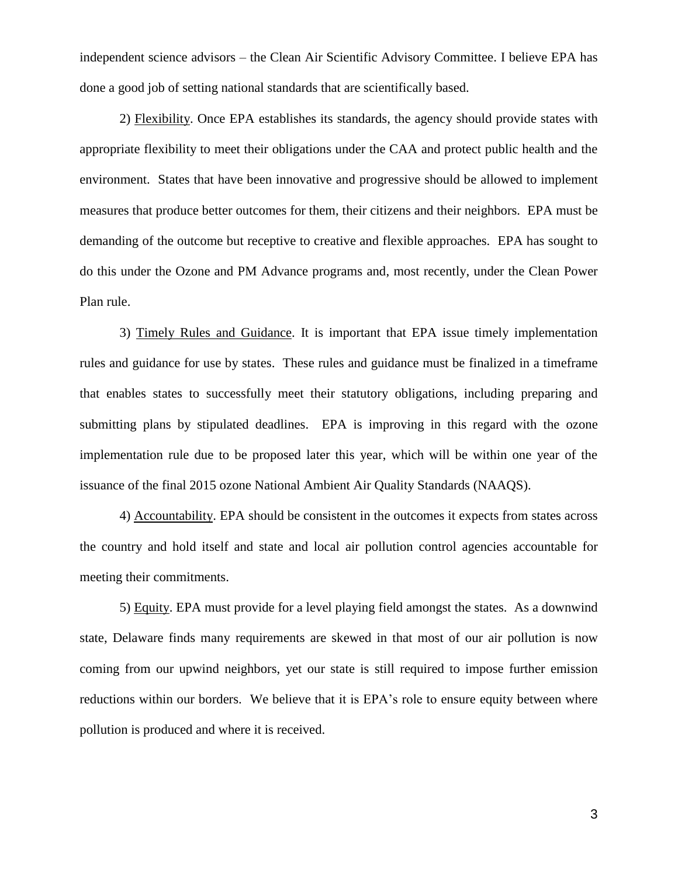independent science advisors – the Clean Air Scientific Advisory Committee. I believe EPA has done a good job of setting national standards that are scientifically based.

2) Flexibility. Once EPA establishes its standards, the agency should provide states with appropriate flexibility to meet their obligations under the CAA and protect public health and the environment. States that have been innovative and progressive should be allowed to implement measures that produce better outcomes for them, their citizens and their neighbors. EPA must be demanding of the outcome but receptive to creative and flexible approaches. EPA has sought to do this under the Ozone and PM Advance programs and, most recently, under the Clean Power Plan rule.

3) Timely Rules and Guidance. It is important that EPA issue timely implementation rules and guidance for use by states. These rules and guidance must be finalized in a timeframe that enables states to successfully meet their statutory obligations, including preparing and submitting plans by stipulated deadlines. EPA is improving in this regard with the ozone implementation rule due to be proposed later this year, which will be within one year of the issuance of the final 2015 ozone National Ambient Air Quality Standards (NAAQS).

4) Accountability. EPA should be consistent in the outcomes it expects from states across the country and hold itself and state and local air pollution control agencies accountable for meeting their commitments.

5) Equity. EPA must provide for a level playing field amongst the states. As a downwind state, Delaware finds many requirements are skewed in that most of our air pollution is now coming from our upwind neighbors, yet our state is still required to impose further emission reductions within our borders. We believe that it is EPA's role to ensure equity between where pollution is produced and where it is received.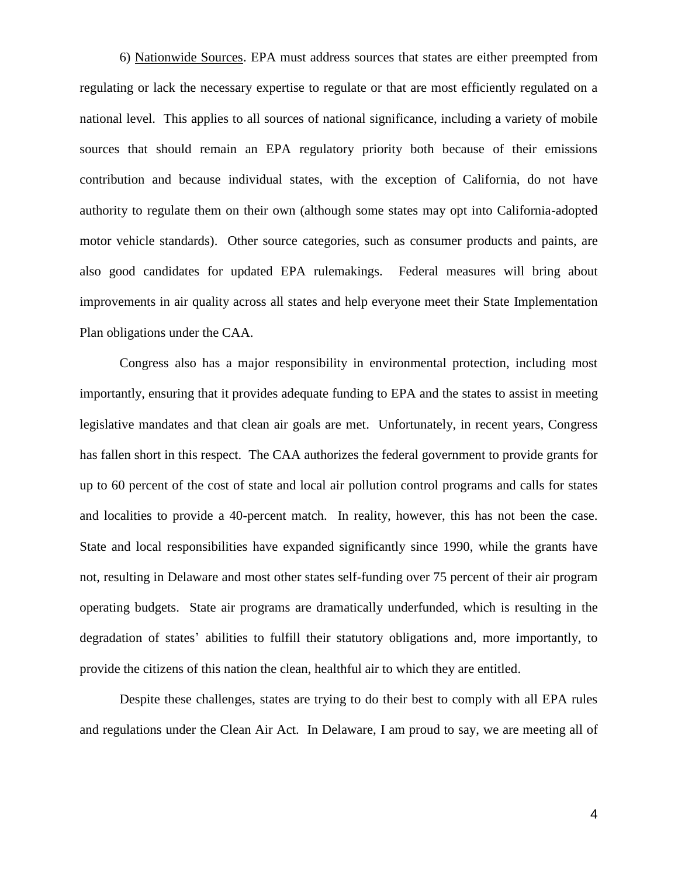6) Nationwide Sources. EPA must address sources that states are either preempted from regulating or lack the necessary expertise to regulate or that are most efficiently regulated on a national level. This applies to all sources of national significance, including a variety of mobile sources that should remain an EPA regulatory priority both because of their emissions contribution and because individual states, with the exception of California, do not have authority to regulate them on their own (although some states may opt into California-adopted motor vehicle standards). Other source categories, such as consumer products and paints, are also good candidates for updated EPA rulemakings. Federal measures will bring about improvements in air quality across all states and help everyone meet their State Implementation Plan obligations under the CAA.

Congress also has a major responsibility in environmental protection, including most importantly, ensuring that it provides adequate funding to EPA and the states to assist in meeting legislative mandates and that clean air goals are met. Unfortunately, in recent years, Congress has fallen short in this respect. The CAA authorizes the federal government to provide grants for up to 60 percent of the cost of state and local air pollution control programs and calls for states and localities to provide a 40-percent match. In reality, however, this has not been the case. State and local responsibilities have expanded significantly since 1990, while the grants have not, resulting in Delaware and most other states self-funding over 75 percent of their air program operating budgets. State air programs are dramatically underfunded, which is resulting in the degradation of states' abilities to fulfill their statutory obligations and, more importantly, to provide the citizens of this nation the clean, healthful air to which they are entitled.

Despite these challenges, states are trying to do their best to comply with all EPA rules and regulations under the Clean Air Act. In Delaware, I am proud to say, we are meeting all of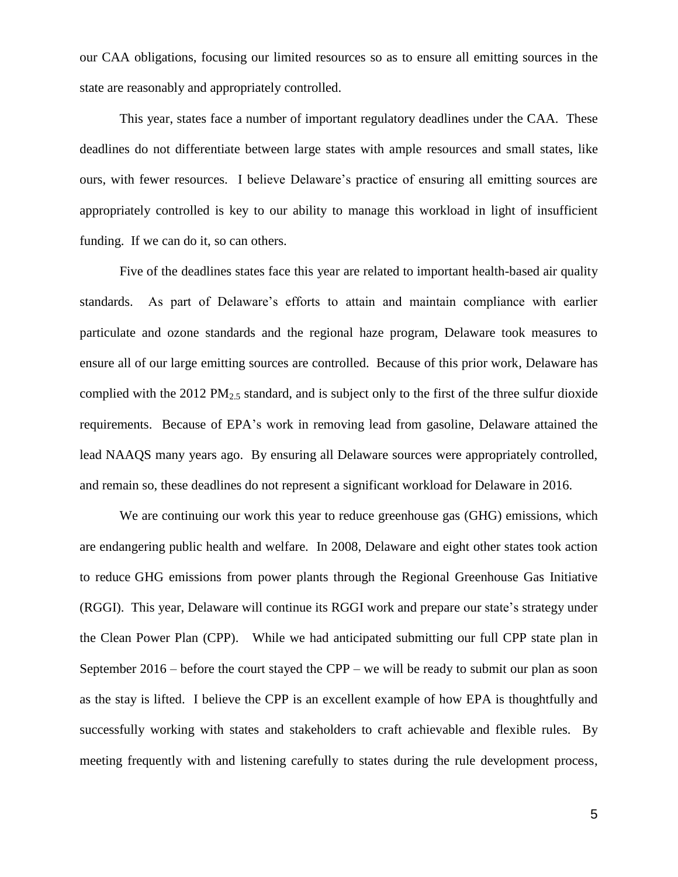our CAA obligations, focusing our limited resources so as to ensure all emitting sources in the state are reasonably and appropriately controlled.

This year, states face a number of important regulatory deadlines under the CAA. These deadlines do not differentiate between large states with ample resources and small states, like ours, with fewer resources. I believe Delaware's practice of ensuring all emitting sources are appropriately controlled is key to our ability to manage this workload in light of insufficient funding. If we can do it, so can others.

Five of the deadlines states face this year are related to important health-based air quality standards. As part of Delaware's efforts to attain and maintain compliance with earlier particulate and ozone standards and the regional haze program, Delaware took measures to ensure all of our large emitting sources are controlled. Because of this prior work, Delaware has complied with the 2012 PM<sub>2.5</sub> standard, and is subject only to the first of the three sulfur dioxide requirements. Because of EPA's work in removing lead from gasoline, Delaware attained the lead NAAQS many years ago. By ensuring all Delaware sources were appropriately controlled, and remain so, these deadlines do not represent a significant workload for Delaware in 2016.

We are continuing our work this year to reduce greenhouse gas (GHG) emissions, which are endangering public health and welfare. In 2008, Delaware and eight other states took action to reduce GHG emissions from power plants through the Regional Greenhouse Gas Initiative (RGGI). This year, Delaware will continue its RGGI work and prepare our state's strategy under the Clean Power Plan (CPP). While we had anticipated submitting our full CPP state plan in September 2016 – before the court stayed the CPP – we will be ready to submit our plan as soon as the stay is lifted. I believe the CPP is an excellent example of how EPA is thoughtfully and successfully working with states and stakeholders to craft achievable and flexible rules. By meeting frequently with and listening carefully to states during the rule development process,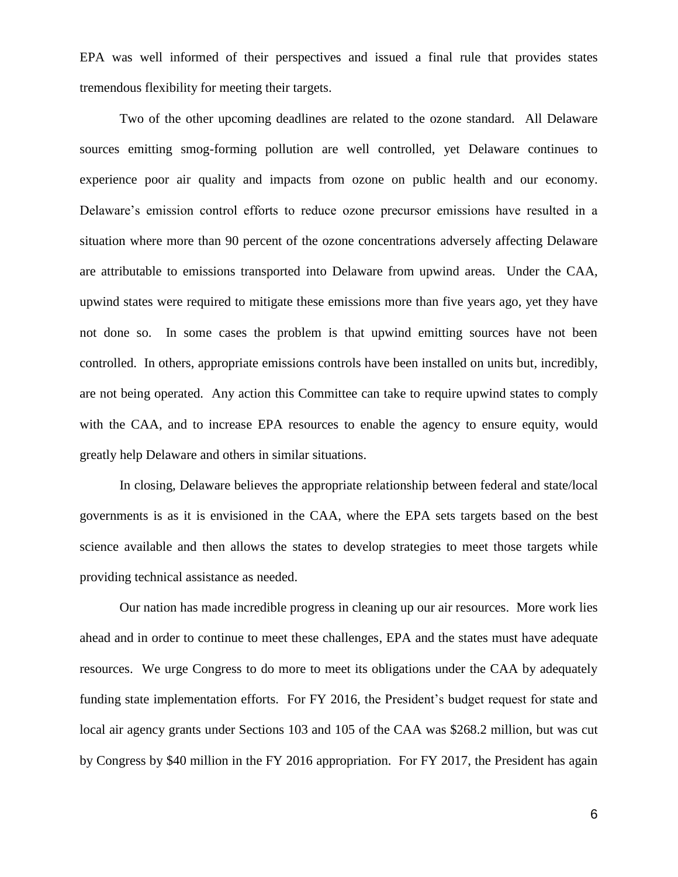EPA was well informed of their perspectives and issued a final rule that provides states tremendous flexibility for meeting their targets.

Two of the other upcoming deadlines are related to the ozone standard. All Delaware sources emitting smog-forming pollution are well controlled, yet Delaware continues to experience poor air quality and impacts from ozone on public health and our economy. Delaware's emission control efforts to reduce ozone precursor emissions have resulted in a situation where more than 90 percent of the ozone concentrations adversely affecting Delaware are attributable to emissions transported into Delaware from upwind areas. Under the CAA, upwind states were required to mitigate these emissions more than five years ago, yet they have not done so. In some cases the problem is that upwind emitting sources have not been controlled. In others, appropriate emissions controls have been installed on units but, incredibly, are not being operated. Any action this Committee can take to require upwind states to comply with the CAA, and to increase EPA resources to enable the agency to ensure equity, would greatly help Delaware and others in similar situations.

In closing, Delaware believes the appropriate relationship between federal and state/local governments is as it is envisioned in the CAA, where the EPA sets targets based on the best science available and then allows the states to develop strategies to meet those targets while providing technical assistance as needed.

Our nation has made incredible progress in cleaning up our air resources. More work lies ahead and in order to continue to meet these challenges, EPA and the states must have adequate resources. We urge Congress to do more to meet its obligations under the CAA by adequately funding state implementation efforts. For FY 2016, the President's budget request for state and local air agency grants under Sections 103 and 105 of the CAA was \$268.2 million, but was cut by Congress by \$40 million in the FY 2016 appropriation. For FY 2017, the President has again